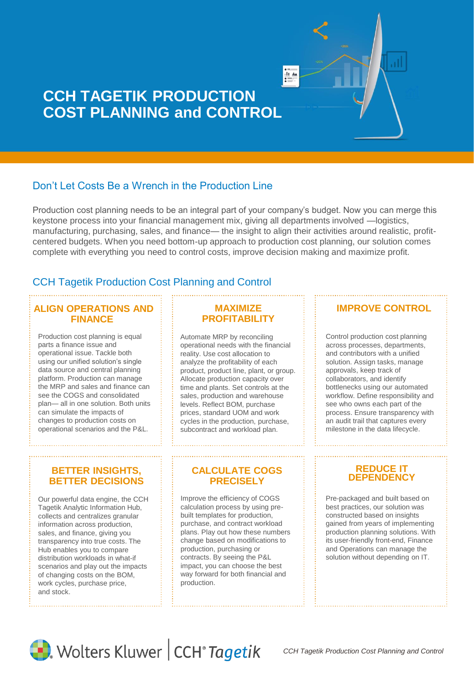

# **CCH TAGETIK PRODUCTION COST PLANNING and CONTROL**

# Don't Let Costs Be a Wrench in the Production Line

Production cost planning needs to be an integral part of your company's budget. Now you can merge this keystone process into your financial management mix, giving all departments involved —logistics, manufacturing, purchasing, sales, and finance— the insight to align their activities around realistic, profitcentered budgets. When you need bottom-up approach to production cost planning, our solution comes complete with everything you need to control costs, improve decision making and maximize profit.

# CCH Tagetik Production Cost Planning and Control

## **ALIGN OPERATIONS AND FINANCE**

Production cost planning is equal parts a finance issue and operational issue. Tackle both using our unified solution's single data source and central planning platform. Production can manage the MRP and sales and finance can see the COGS and consolidated plan— all in one solution. Both units can simulate the impacts of changes to production costs on operational scenarios and the P&L.

# **MAXIMIZE PROFITABILITY**

Automate MRP by reconciling operational needs with the financial reality. Use cost allocation to analyze the profitability of each product, product line, plant, or group. Allocate production capacity over time and plants. Set controls at the sales, production and warehouse levels. Reflect BOM, purchase prices, standard UOM and work cycles in the production, purchase, subcontract and workload plan.

#### **BETTER INSIGHTS, BETTER DECISIONS**

Our powerful data engine, the CCH Tagetik Analytic Information Hub, collects and centralizes granular information across production, sales, and finance, giving you transparency into true costs. The Hub enables you to compare distribution workloads in what-if scenarios and play out the impacts of changing costs on the BOM, work cycles, purchase price, and stock.

### **CALCULATE COGS PRECISELY**

Improve the efficiency of COGS calculation process by using prebuilt templates for production, purchase, and contract workload plans. Play out how these numbers change based on modifications to production, purchasing or contracts. By seeing the P&L impact, you can choose the best way forward for both financial and production.

# **IMPROVE CONTROL**

Control production cost planning across processes, departments, and contributors with a unified solution. Assign tasks, manage approvals, keep track of collaborators, and identify bottlenecks using our automated workflow. Define responsibility and see who owns each part of the process. Ensure transparency with an audit trail that captures every milestone in the data lifecycle.



Pre-packaged and built based on best practices, our solution was constructed based on insights gained from years of implementing production planning solutions. With its user-friendly front-end, Finance and Operations can manage the solution without depending on IT.



Wolters Kluwer | CCH<sup>®</sup> Tagetik